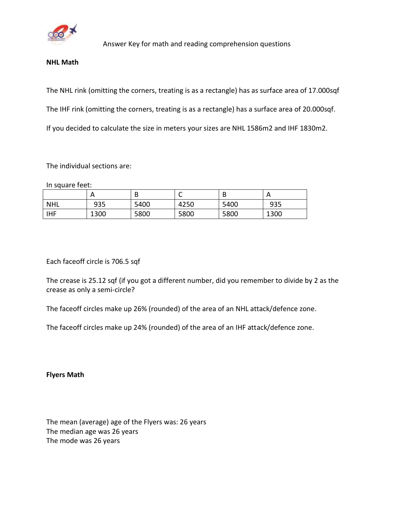

Answer Key for math and reading comprehension questions

## **NHL Math**

The NHL rink (omitting the corners, treating is as a rectangle) has as surface area of 17.000sqf The IHF rink (omitting the corners, treating is as a rectangle) has a surface area of 20.000sqf. If you decided to calculate the size in meters your sizes are NHL 1586m2 and IHF 1830m2.

## The individual sections are:

In square feet:

|            | А    | D    | ◡    | D    | $\mathsf{A}$ |
|------------|------|------|------|------|--------------|
| <b>NHL</b> | 935  | 5400 | 4250 | 5400 | 935          |
| <b>IHF</b> | 1300 | 5800 | 5800 | 5800 | 1300         |

Each faceoff circle is 706.5 sqf

The crease is 25.12 sqf (if you got a different number, did you remember to divide by 2 as the crease as only a semi-circle?

The faceoff circles make up 26% (rounded) of the area of an NHL attack/defence zone.

The faceoff circles make up 24% (rounded) of the area of an IHF attack/defence zone.

**Flyers Math**

The mean (average) age of the Flyers was: 26 years The median age was 26 years The mode was 26 years